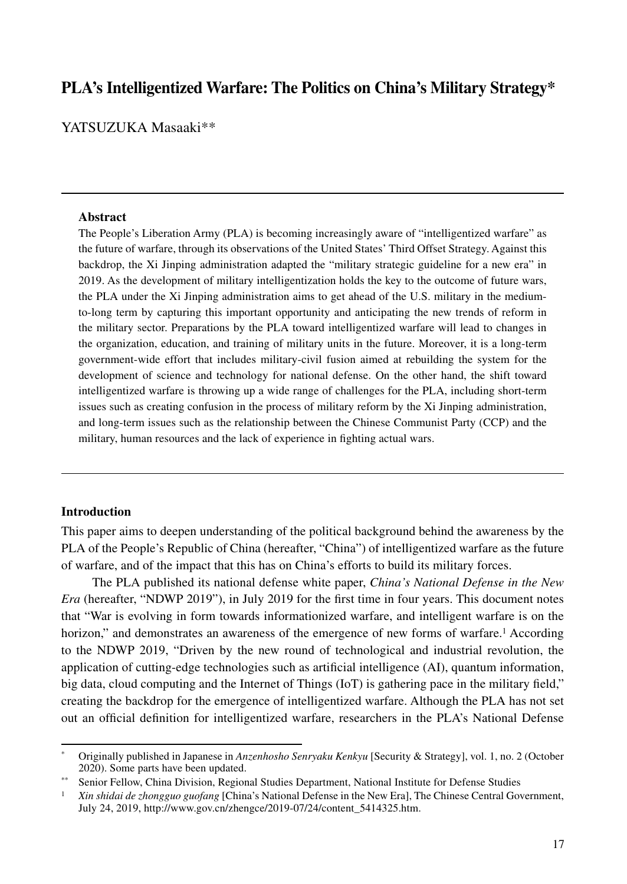# **PLA's Intelligentized Warfare: The Politics on China's Military Strategy\***

YATSUZUKA Masaaki\*\*

#### **Abstract**

The People's Liberation Army (PLA) is becoming increasingly aware of "intelligentized warfare" as the future of warfare, through its observations of the United States' Third Offset Strategy. Against this backdrop, the Xi Jinping administration adapted the "military strategic guideline for a new era" in 2019. As the development of military intelligentization holds the key to the outcome of future wars, the PLA under the Xi Jinping administration aims to get ahead of the U.S. military in the mediumto-long term by capturing this important opportunity and anticipating the new trends of reform in the military sector. Preparations by the PLA toward intelligentized warfare will lead to changes in the organization, education, and training of military units in the future. Moreover, it is a long-term government-wide effort that includes military-civil fusion aimed at rebuilding the system for the development of science and technology for national defense. On the other hand, the shift toward intelligentized warfare is throwing up a wide range of challenges for the PLA, including short-term issues such as creating confusion in the process of military reform by the Xi Jinping administration, and long-term issues such as the relationship between the Chinese Communist Party (CCP) and the military, human resources and the lack of experience in fighting actual wars.

### **Introduction**

This paper aims to deepen understanding of the political background behind the awareness by the PLA of the People's Republic of China (hereafter, "China") of intelligentized warfare as the future of warfare, and of the impact that this has on China's efforts to build its military forces.

The PLA published its national defense white paper, *China's National Defense in the New Era* (hereafter, "NDWP 2019"), in July 2019 for the first time in four years. This document notes that "War is evolving in form towards informationized warfare, and intelligent warfare is on the horizon," and demonstrates an awareness of the emergence of new forms of warfare.<sup>1</sup> According to the NDWP 2019, "Driven by the new round of technological and industrial revolution, the application of cutting-edge technologies such as artificial intelligence (AI), quantum information, big data, cloud computing and the Internet of Things (IoT) is gathering pace in the military field," creating the backdrop for the emergence of intelligentized warfare. Although the PLA has not set out an official definition for intelligentized warfare, researchers in the PLA's National Defense

<sup>\*</sup> Originally published in Japanese in *Anzenhosho Senryaku Kenkyu* [Security & Strategy], vol. 1, no. 2 (October 2020). Some parts have been updated.

<sup>\*\*</sup> Senior Fellow, China Division, Regional Studies Department, National Institute for Defense Studies

<sup>&</sup>lt;sup>1</sup> *Xin shidai de zhongguo guofang* [China's National Defense in the New Era], The Chinese Central Government, July 24, 2019, http://www.gov.cn/zhengce/2019-07/24/content\_5414325.htm.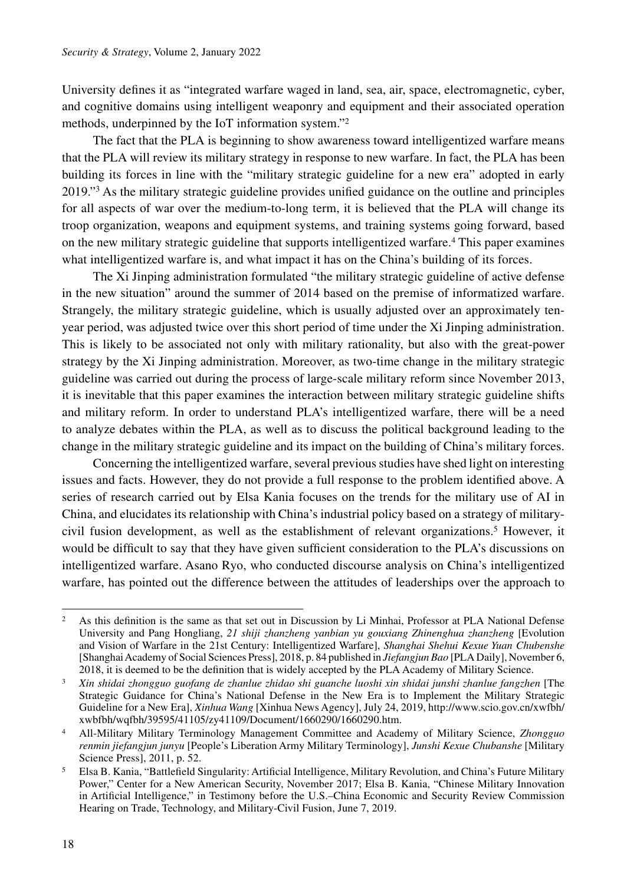University defines it as "integrated warfare waged in land, sea, air, space, electromagnetic, cyber, and cognitive domains using intelligent weaponry and equipment and their associated operation methods, underpinned by the IoT information system."2

The fact that the PLA is beginning to show awareness toward intelligentized warfare means that the PLA will review its military strategy in response to new warfare. In fact, the PLA has been building its forces in line with the "military strategic guideline for a new era" adopted in early 2019."3 As the military strategic guideline provides unified guidance on the outline and principles for all aspects of war over the medium-to-long term, it is believed that the PLA will change its troop organization, weapons and equipment systems, and training systems going forward, based on the new military strategic guideline that supports intelligentized warfare.4 This paper examines what intelligentized warfare is, and what impact it has on the China's building of its forces.

The Xi Jinping administration formulated "the military strategic guideline of active defense in the new situation" around the summer of 2014 based on the premise of informatized warfare. Strangely, the military strategic guideline, which is usually adjusted over an approximately tenyear period, was adjusted twice over this short period of time under the Xi Jinping administration. This is likely to be associated not only with military rationality, but also with the great-power strategy by the Xi Jinping administration. Moreover, as two-time change in the military strategic guideline was carried out during the process of large-scale military reform since November 2013, it is inevitable that this paper examines the interaction between military strategic guideline shifts and military reform. In order to understand PLA's intelligentized warfare, there will be a need to analyze debates within the PLA, as well as to discuss the political background leading to the change in the military strategic guideline and its impact on the building of China's military forces.

Concerning the intelligentized warfare, several previous studies have shed light on interesting issues and facts. However, they do not provide a full response to the problem identified above. A series of research carried out by Elsa Kania focuses on the trends for the military use of AI in China, and elucidates its relationship with China's industrial policy based on a strategy of militarycivil fusion development, as well as the establishment of relevant organizations.<sup>5</sup> However, it would be difficult to say that they have given sufficient consideration to the PLA's discussions on intelligentized warfare. Asano Ryo, who conducted discourse analysis on China's intelligentized warfare, has pointed out the difference between the attitudes of leaderships over the approach to

<sup>&</sup>lt;sup>2</sup> As this definition is the same as that set out in Discussion by Li Minhai, Professor at PLA National Defense University and Pang Hongliang, *21 shiji zhanzheng yanbian yu gouxiang Zhinenghua zhanzheng* [Evolution and Vision of Warfare in the 21st Century: Intelligentized Warfare], *Shanghai Shehui Kexue Yuan Chubenshe* [Shanghai Academy of Social Sciences Press], 2018, p. 84 published in *Jiefangjun Bao* [PLA Daily], November 6,

<sup>&</sup>lt;sup>3</sup> Xin shidai zhongguo guofang de zhanlue zhidao shi guanche luoshi xin shidai junshi zhanlue fangzhen [The Strategic Guidance for China's National Defense in the New Era is to Implement the Military Strategic Guideline for a New Era], *Xinhua Wang* [Xinhua News Agency], July 24, 2019, http://www.scio.gov.cn/xwfbh/ xwbfbh/wqfbh/39595/41105/zy41109/Document/1660290/1660290.htm.

<sup>4</sup> All-Military Military Terminology Management Committee and Academy of Military Science, *Zhongguo renmin jiefangjun junyu* [People's Liberation Army Military Terminology], *Junshi Kexue Chubanshe* [Military Science Press], 2011, p. 52.

<sup>5</sup> Elsa B. Kania, "Battlefield Singularity: Artificial Intelligence, Military Revolution, and China's Future Military Power," Center for a New American Security, November 2017; Elsa B. Kania, "Chinese Military Innovation in Artificial Intelligence," in Testimony before the U.S.–China Economic and Security Review Commission Hearing on Trade, Technology, and Military-Civil Fusion, June 7, 2019.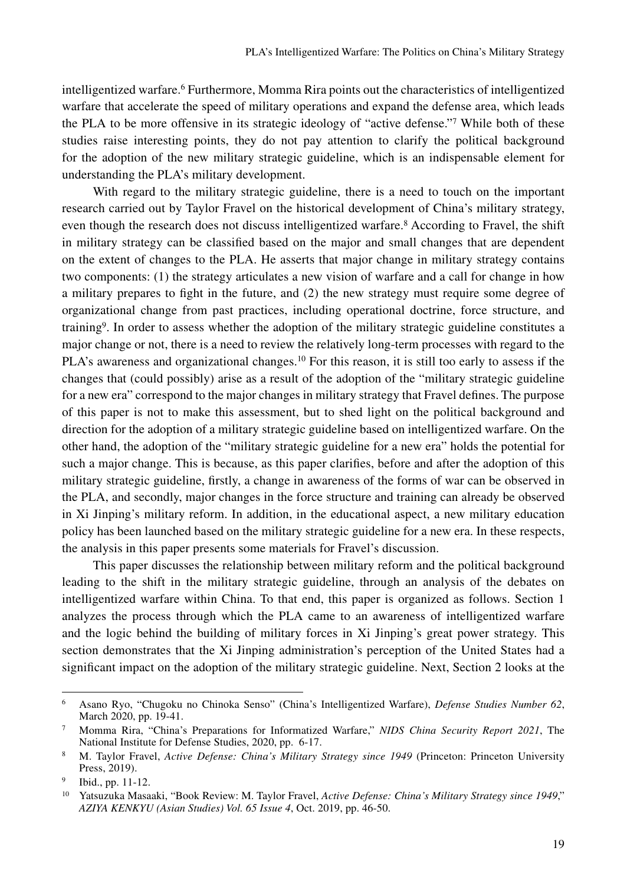intelligentized warfare.6 Furthermore, Momma Rira points out the characteristics of intelligentized warfare that accelerate the speed of military operations and expand the defense area, which leads the PLA to be more offensive in its strategic ideology of "active defense."7 While both of these studies raise interesting points, they do not pay attention to clarify the political background for the adoption of the new military strategic guideline, which is an indispensable element for understanding the PLA's military development.

With regard to the military strategic guideline, there is a need to touch on the important research carried out by Taylor Fravel on the historical development of China's military strategy, even though the research does not discuss intelligentized warfare.<sup>8</sup> According to Fravel, the shift in military strategy can be classified based on the major and small changes that are dependent on the extent of changes to the PLA. He asserts that major change in military strategy contains two components: (1) the strategy articulates a new vision of warfare and a call for change in how a military prepares to fight in the future, and (2) the new strategy must require some degree of organizational change from past practices, including operational doctrine, force structure, and training9. In order to assess whether the adoption of the military strategic guideline constitutes a major change or not, there is a need to review the relatively long-term processes with regard to the PLA's awareness and organizational changes.<sup>10</sup> For this reason, it is still too early to assess if the changes that (could possibly) arise as a result of the adoption of the "military strategic guideline for a new era" correspond to the major changes in military strategy that Fravel defines. The purpose of this paper is not to make this assessment, but to shed light on the political background and direction for the adoption of a military strategic guideline based on intelligentized warfare. On the other hand, the adoption of the "military strategic guideline for a new era" holds the potential for such a major change. This is because, as this paper clarifies, before and after the adoption of this military strategic guideline, firstly, a change in awareness of the forms of war can be observed in the PLA, and secondly, major changes in the force structure and training can already be observed in Xi Jinping's military reform. In addition, in the educational aspect, a new military education policy has been launched based on the military strategic guideline for a new era. In these respects, the analysis in this paper presents some materials for Fravel's discussion.

This paper discusses the relationship between military reform and the political background leading to the shift in the military strategic guideline, through an analysis of the debates on intelligentized warfare within China. To that end, this paper is organized as follows. Section 1 analyzes the process through which the PLA came to an awareness of intelligentized warfare and the logic behind the building of military forces in Xi Jinping's great power strategy. This section demonstrates that the Xi Jinping administration's perception of the United States had a significant impact on the adoption of the military strategic guideline. Next, Section 2 looks at the

<sup>6</sup> Asano Ryo, "Chugoku no Chinoka Senso" (China's Intelligentized Warfare), *Defense Studies Number 62*, March 2020, pp. 19-41.

<sup>7</sup> Momma Rira, "China's Preparations for Informatized Warfare," *NIDS China Security Report 2021*, The National Institute for Defense Studies, 2020, pp. 6-17.

<sup>8</sup> M. Taylor Fravel, *Active Defense: China's Military Strategy since 1949* (Princeton: Princeton University Press, 2019).

<sup>9</sup> Ibid., pp. 11-12.

<sup>10</sup> Yatsuzuka Masaaki, "Book Review: M. Taylor Fravel, *Active Defense: China's Military Strategy since 1949*," *AZIYA KENKYU (Asian Studies) Vol. 65 Issue 4*, Oct. 2019, pp. 46-50.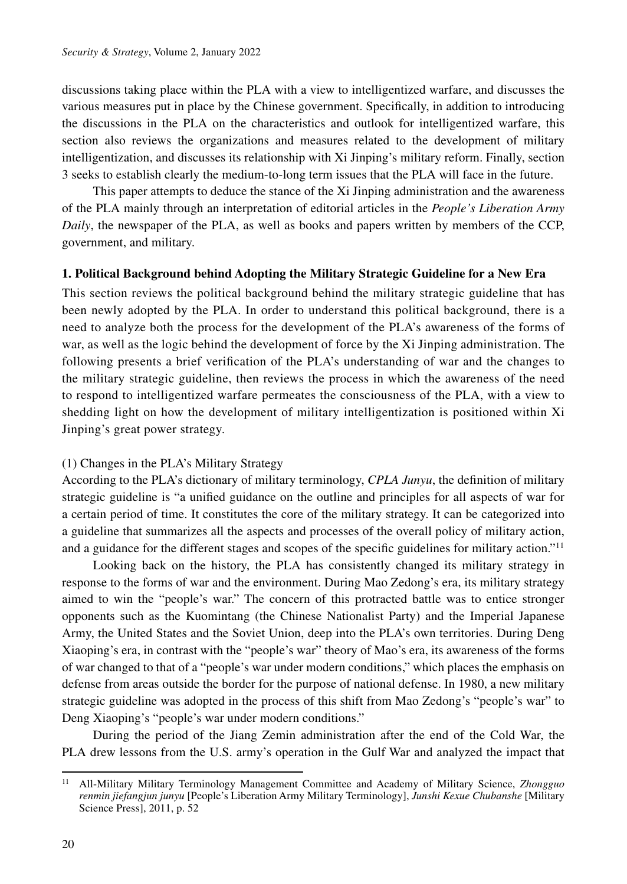discussions taking place within the PLA with a view to intelligentized warfare, and discusses the various measures put in place by the Chinese government. Specifically, in addition to introducing the discussions in the PLA on the characteristics and outlook for intelligentized warfare, this section also reviews the organizations and measures related to the development of military intelligentization, and discusses its relationship with Xi Jinping's military reform. Finally, section 3 seeks to establish clearly the medium-to-long term issues that the PLA will face in the future.

This paper attempts to deduce the stance of the Xi Jinping administration and the awareness of the PLA mainly through an interpretation of editorial articles in the *People's Liberation Army Daily*, the newspaper of the PLA, as well as books and papers written by members of the CCP, government, and military.

### **1. Political Background behind Adopting the Military Strategic Guideline for a New Era**

This section reviews the political background behind the military strategic guideline that has been newly adopted by the PLA. In order to understand this political background, there is a need to analyze both the process for the development of the PLA's awareness of the forms of war, as well as the logic behind the development of force by the Xi Jinping administration. The following presents a brief verification of the PLA's understanding of war and the changes to the military strategic guideline, then reviews the process in which the awareness of the need to respond to intelligentized warfare permeates the consciousness of the PLA, with a view to shedding light on how the development of military intelligentization is positioned within Xi Jinping's great power strategy.

# (1) Changes in the PLA's Military Strategy

According to the PLA's dictionary of military terminology, *CPLA Junyu*, the definition of military strategic guideline is "a unified guidance on the outline and principles for all aspects of war for a certain period of time. It constitutes the core of the military strategy. It can be categorized into a guideline that summarizes all the aspects and processes of the overall policy of military action, and a guidance for the different stages and scopes of the specific guidelines for military action."11

Looking back on the history, the PLA has consistently changed its military strategy in response to the forms of war and the environment. During Mao Zedong's era, its military strategy aimed to win the "people's war." The concern of this protracted battle was to entice stronger opponents such as the Kuomintang (the Chinese Nationalist Party) and the Imperial Japanese Army, the United States and the Soviet Union, deep into the PLA's own territories. During Deng Xiaoping's era, in contrast with the "people's war" theory of Mao's era, its awareness of the forms of war changed to that of a "people's war under modern conditions," which places the emphasis on defense from areas outside the border for the purpose of national defense. In 1980, a new military strategic guideline was adopted in the process of this shift from Mao Zedong's "people's war" to Deng Xiaoping's "people's war under modern conditions."

During the period of the Jiang Zemin administration after the end of the Cold War, the PLA drew lessons from the U.S. army's operation in the Gulf War and analyzed the impact that

<sup>11</sup> All-Military Military Terminology Management Committee and Academy of Military Science, *Zhongguo renmin jiefangjun junyu* [People's Liberation Army Military Terminology], *Junshi Kexue Chubanshe* [Military Science Press], 2011, p. 52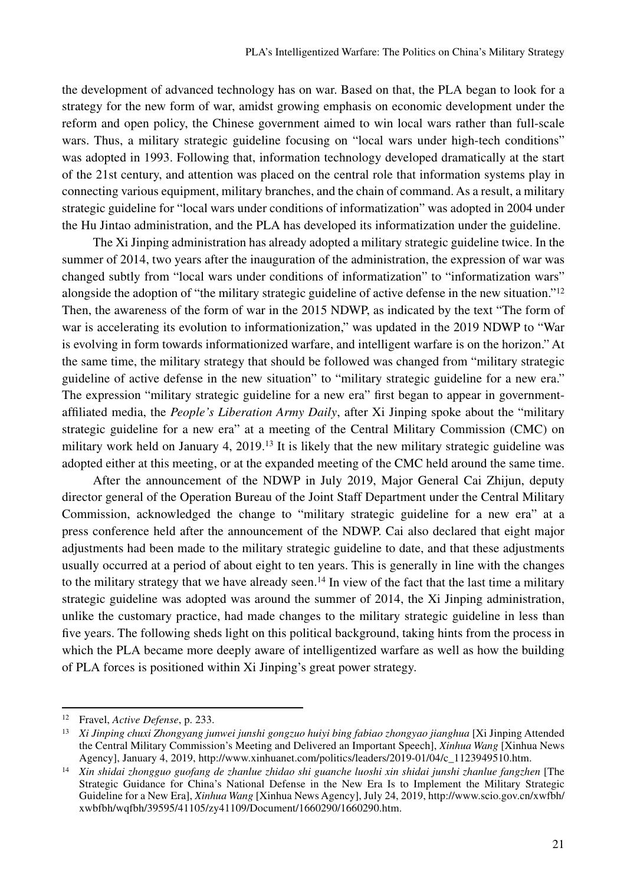the development of advanced technology has on war. Based on that, the PLA began to look for a strategy for the new form of war, amidst growing emphasis on economic development under the reform and open policy, the Chinese government aimed to win local wars rather than full-scale wars. Thus, a military strategic guideline focusing on "local wars under high-tech conditions" was adopted in 1993. Following that, information technology developed dramatically at the start of the 21st century, and attention was placed on the central role that information systems play in connecting various equipment, military branches, and the chain of command. As a result, a military strategic guideline for "local wars under conditions of informatization" was adopted in 2004 under the Hu Jintao administration, and the PLA has developed its informatization under the guideline.

The Xi Jinping administration has already adopted a military strategic guideline twice. In the summer of 2014, two years after the inauguration of the administration, the expression of war was changed subtly from "local wars under conditions of informatization" to "informatization wars" alongside the adoption of "the military strategic guideline of active defense in the new situation."<sup>12</sup> Then, the awareness of the form of war in the 2015 NDWP, as indicated by the text "The form of war is accelerating its evolution to informationization," was updated in the 2019 NDWP to "War is evolving in form towards informationized warfare, and intelligent warfare is on the horizon." At the same time, the military strategy that should be followed was changed from "military strategic guideline of active defense in the new situation" to "military strategic guideline for a new era." The expression "military strategic guideline for a new era" first began to appear in governmentaffiliated media, the *People's Liberation Army Daily*, after Xi Jinping spoke about the "military strategic guideline for a new era" at a meeting of the Central Military Commission (CMC) on military work held on January 4, 2019.13 It is likely that the new military strategic guideline was adopted either at this meeting, or at the expanded meeting of the CMC held around the same time.

After the announcement of the NDWP in July 2019, Major General Cai Zhijun, deputy director general of the Operation Bureau of the Joint Staff Department under the Central Military Commission, acknowledged the change to "military strategic guideline for a new era" at a press conference held after the announcement of the NDWP. Cai also declared that eight major adjustments had been made to the military strategic guideline to date, and that these adjustments usually occurred at a period of about eight to ten years. This is generally in line with the changes to the military strategy that we have already seen.<sup>14</sup> In view of the fact that the last time a military strategic guideline was adopted was around the summer of 2014, the Xi Jinping administration, unlike the customary practice, had made changes to the military strategic guideline in less than five years. The following sheds light on this political background, taking hints from the process in which the PLA became more deeply aware of intelligentized warfare as well as how the building of PLA forces is positioned within Xi Jinping's great power strategy.

<sup>12</sup> Fravel, *Active Defense*, p. 233.

<sup>13</sup> *Xi Jinping chuxi Zhongyang junwei junshi gongzuo huiyi bing fabiao zhongyao jianghua* [Xi Jinping Attended the Central Military Commission's Meeting and Delivered an Important Speech], *Xinhua Wang* [Xinhua News Agency], January 4, 2019, http://www.xinhuanet.com/politics/leaders/2019-01/04/c\_1123949510.htm.

<sup>14</sup> *Xin shidai zhongguo guofang de zhanlue zhidao shi guanche luoshi xin shidai junshi zhanlue fangzhen* [The Strategic Guidance for China's National Defense in the New Era Is to Implement the Military Strategic Guideline for a New Era], *Xinhua Wang* [Xinhua News Agency], July 24, 2019, http://www.scio.gov.cn/xwfbh/ xwbfbh/wqfbh/39595/41105/zy41109/Document/1660290/1660290.htm.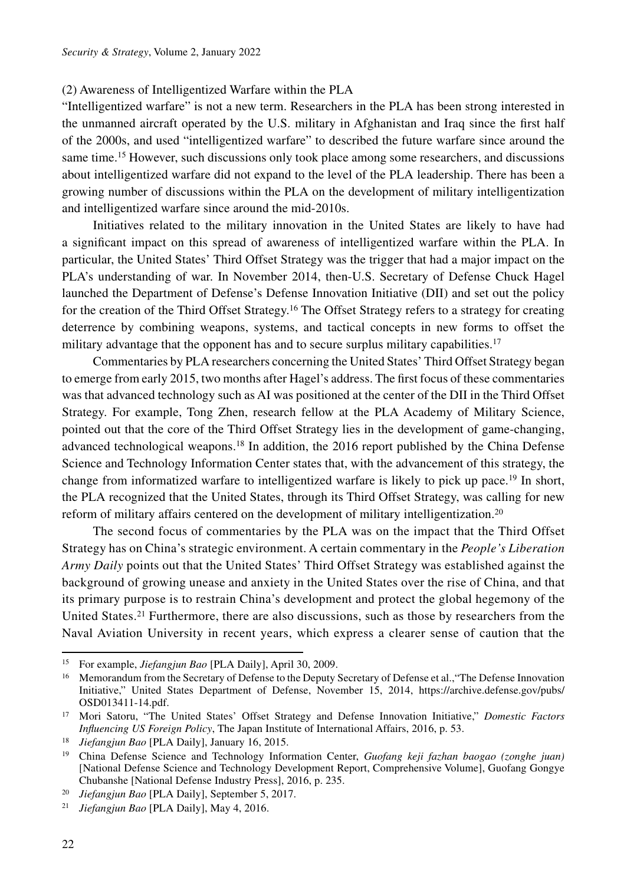# (2) Awareness of Intelligentized Warfare within the PLA

"Intelligentized warfare" is not a new term. Researchers in the PLA has been strong interested in the unmanned aircraft operated by the U.S. military in Afghanistan and Iraq since the first half of the 2000s, and used "intelligentized warfare" to described the future warfare since around the same time.<sup>15</sup> However, such discussions only took place among some researchers, and discussions about intelligentized warfare did not expand to the level of the PLA leadership. There has been a growing number of discussions within the PLA on the development of military intelligentization and intelligentized warfare since around the mid-2010s.

Initiatives related to the military innovation in the United States are likely to have had a significant impact on this spread of awareness of intelligentized warfare within the PLA. In particular, the United States' Third Offset Strategy was the trigger that had a major impact on the PLA's understanding of war. In November 2014, then-U.S. Secretary of Defense Chuck Hagel launched the Department of Defense's Defense Innovation Initiative (DII) and set out the policy for the creation of the Third Offset Strategy.16 The Offset Strategy refers to a strategy for creating deterrence by combining weapons, systems, and tactical concepts in new forms to offset the military advantage that the opponent has and to secure surplus military capabilities.<sup>17</sup>

Commentaries by PLA researchers concerning the United States' Third Offset Strategy began to emerge from early 2015, two months after Hagel's address. The first focus of these commentaries was that advanced technology such as AI was positioned at the center of the DII in the Third Offset Strategy. For example, Tong Zhen, research fellow at the PLA Academy of Military Science, pointed out that the core of the Third Offset Strategy lies in the development of game-changing, advanced technological weapons.18 In addition, the 2016 report published by the China Defense Science and Technology Information Center states that, with the advancement of this strategy, the change from informatized warfare to intelligentized warfare is likely to pick up pace.<sup>19</sup> In short, the PLA recognized that the United States, through its Third Offset Strategy, was calling for new reform of military affairs centered on the development of military intelligentization.20

The second focus of commentaries by the PLA was on the impact that the Third Offset Strategy has on China's strategic environment. A certain commentary in the *People's Liberation Army Daily* points out that the United States' Third Offset Strategy was established against the background of growing unease and anxiety in the United States over the rise of China, and that its primary purpose is to restrain China's development and protect the global hegemony of the United States.<sup>21</sup> Furthermore, there are also discussions, such as those by researchers from the Naval Aviation University in recent years, which express a clearer sense of caution that the

<sup>15</sup> For example, *Jiefangjun Bao* [PLA Daily], April 30, 2009.

<sup>&</sup>lt;sup>16</sup> Memorandum from the Secretary of Defense to the Deputy Secretary of Defense et al., "The Defense Innovation Initiative," United States Department of Defense, November 15, 2014, https://archive.defense.gov/pubs/ OSD013411-14.pdf. 17 Mori Satoru, "The United States' Offset Strategy and Defense Innovation Initiative," *Domestic Factors* 

*Influencing US Foreign Policy*, The Japan Institute of International Affairs, 2016, p. 53.

<sup>18</sup> *Jiefangjun Bao* [PLA Daily], January 16, 2015.

<sup>19</sup> China Defense Science and Technology Information Center, *Guofang keji fazhan baogao (zonghe juan)* [National Defense Science and Technology Development Report, Comprehensive Volume], Guofang Gongye Chubanshe [National Defense Industry Press], 2016, p. 235.

<sup>20</sup> *Jiefangjun Bao* [PLA Daily], September 5, 2017.

<sup>21</sup> *Jiefangjun Bao* [PLA Daily], May 4, 2016.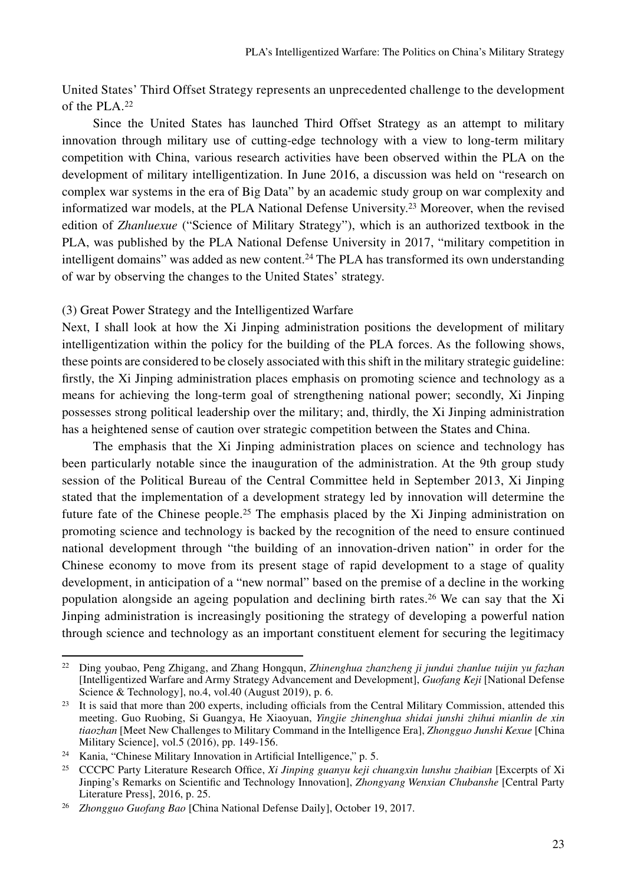United States' Third Offset Strategy represents an unprecedented challenge to the development of the PLA.22

Since the United States has launched Third Offset Strategy as an attempt to military innovation through military use of cutting-edge technology with a view to long-term military competition with China, various research activities have been observed within the PLA on the development of military intelligentization. In June 2016, a discussion was held on "research on complex war systems in the era of Big Data" by an academic study group on war complexity and informatized war models, at the PLA National Defense University.23 Moreover, when the revised edition of *Zhanluexue* ("Science of Military Strategy"), which is an authorized textbook in the PLA, was published by the PLA National Defense University in 2017, "military competition in intelligent domains" was added as new content.<sup>24</sup> The PLA has transformed its own understanding of war by observing the changes to the United States' strategy.

# (3) Great Power Strategy and the Intelligentized Warfare

Next, I shall look at how the Xi Jinping administration positions the development of military intelligentization within the policy for the building of the PLA forces. As the following shows, these points are considered to be closely associated with this shift in the military strategic guideline: firstly, the Xi Jinping administration places emphasis on promoting science and technology as a means for achieving the long-term goal of strengthening national power; secondly, Xi Jinping possesses strong political leadership over the military; and, thirdly, the Xi Jinping administration has a heightened sense of caution over strategic competition between the States and China.

The emphasis that the Xi Jinping administration places on science and technology has been particularly notable since the inauguration of the administration. At the 9th group study session of the Political Bureau of the Central Committee held in September 2013, Xi Jinping stated that the implementation of a development strategy led by innovation will determine the future fate of the Chinese people.<sup>25</sup> The emphasis placed by the Xi Jinping administration on promoting science and technology is backed by the recognition of the need to ensure continued national development through "the building of an innovation-driven nation" in order for the Chinese economy to move from its present stage of rapid development to a stage of quality development, in anticipation of a "new normal" based on the premise of a decline in the working population alongside an ageing population and declining birth rates.26 We can say that the Xi Jinping administration is increasingly positioning the strategy of developing a powerful nation through science and technology as an important constituent element for securing the legitimacy

<sup>22</sup> Ding youbao, Peng Zhigang, and Zhang Hongqun, *Zhinenghua zhanzheng ji jundui zhanlue tuijin yu fazhan* [Intelligentized Warfare and Army Strategy Advancement and Development], *Guofang Keji* [National Defense Science & Technology], no.4, vol.40 (August 2019), p. 6.

 $23$  It is said that more than 200 experts, including officials from the Central Military Commission, attended this meeting. Guo Ruobing, Si Guangya, He Xiaoyuan, *Yingjie zhinenghua shidai junshi zhihui mianlin de xin tiaozhan* [Meet New Challenges to Military Command in the Intelligence Era], *Zhongguo Junshi Kexue* [China Military Science], vol.5 (2016), pp. 149-156.

<sup>24</sup> Kania, "Chinese Military Innovation in Artificial Intelligence," p. 5.

<sup>25</sup> CCCPC Party Literature Research Office, *Xi Jinping guanyu keji chuangxin lunshu zhaibian* [Excerpts of Xi Jinping's Remarks on Scientific and Technology Innovation], *Zhongyang Wenxian Chubanshe* [Central Party Literature Press], 2016, p. 25.

<sup>26</sup> *Zhongguo Guofang Bao* [China National Defense Daily], October 19, 2017.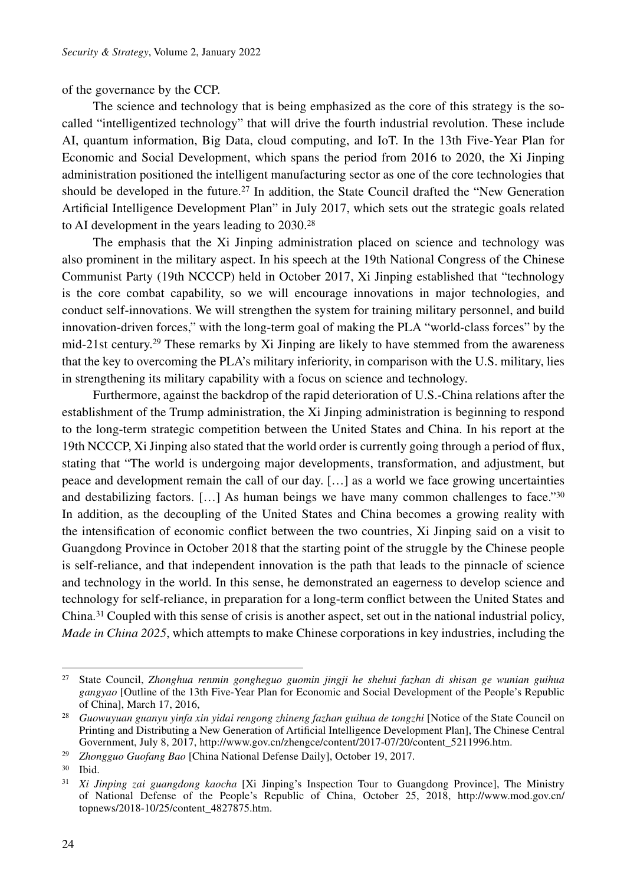of the governance by the CCP.

The science and technology that is being emphasized as the core of this strategy is the socalled "intelligentized technology" that will drive the fourth industrial revolution. These include AI, quantum information, Big Data, cloud computing, and IoT. In the 13th Five-Year Plan for Economic and Social Development, which spans the period from 2016 to 2020, the Xi Jinping administration positioned the intelligent manufacturing sector as one of the core technologies that should be developed in the future.<sup>27</sup> In addition, the State Council drafted the "New Generation" Artificial Intelligence Development Plan" in July 2017, which sets out the strategic goals related to AI development in the years leading to 2030.28

The emphasis that the Xi Jinping administration placed on science and technology was also prominent in the military aspect. In his speech at the 19th National Congress of the Chinese Communist Party (19th NCCCP) held in October 2017, Xi Jinping established that "technology is the core combat capability, so we will encourage innovations in major technologies, and conduct self-innovations. We will strengthen the system for training military personnel, and build innovation-driven forces," with the long-term goal of making the PLA "world-class forces" by the mid-21st century.<sup>29</sup> These remarks by Xi Jinping are likely to have stemmed from the awareness that the key to overcoming the PLA's military inferiority, in comparison with the U.S. military, lies in strengthening its military capability with a focus on science and technology.

Furthermore, against the backdrop of the rapid deterioration of U.S.-China relations after the establishment of the Trump administration, the Xi Jinping administration is beginning to respond to the long-term strategic competition between the United States and China. In his report at the 19th NCCCP, Xi Jinping also stated that the world order is currently going through a period of flux, stating that "The world is undergoing major developments, transformation, and adjustment, but peace and development remain the call of our day. […] as a world we face growing uncertainties and destabilizing factors.  $[\ldots]$  As human beings we have many common challenges to face." 30 In addition, as the decoupling of the United States and China becomes a growing reality with the intensification of economic conflict between the two countries, Xi Jinping said on a visit to Guangdong Province in October 2018 that the starting point of the struggle by the Chinese people is self-reliance, and that independent innovation is the path that leads to the pinnacle of science and technology in the world. In this sense, he demonstrated an eagerness to develop science and technology for self-reliance, in preparation for a long-term conflict between the United States and China.31 Coupled with this sense of crisis is another aspect, set out in the national industrial policy, *Made in China 2025*, which attempts to make Chinese corporations in key industries, including the

<sup>27</sup> State Council, *Zhonghua renmin gongheguo guomin jingji he shehui fazhan di shisan ge wunian guihua gangyao* [Outline of the 13th Five-Year Plan for Economic and Social Development of the People's Republic of China], March 17, 2016,

<sup>28</sup> *Guowuyuan guanyu yinfa xin yidai rengong zhineng fazhan guihua de tongzhi* [Notice of the State Council on Printing and Distributing a New Generation of Artificial Intelligence Development Plan], The Chinese Central Government, July 8, 2017, http://www.gov.cn/zhengce/content/2017-07/20/content\_5211996.htm.

<sup>29</sup> *Zhongguo Guofang Bao* [China National Defense Daily], October 19, 2017.

<sup>30</sup> Ibid.

<sup>31</sup> *Xi Jinping zai guangdong kaocha* [Xi Jinping's Inspection Tour to Guangdong Province], The Ministry of National Defense of the People's Republic of China, October 25, 2018, http://www.mod.gov.cn/ topnews/2018-10/25/content\_4827875.htm.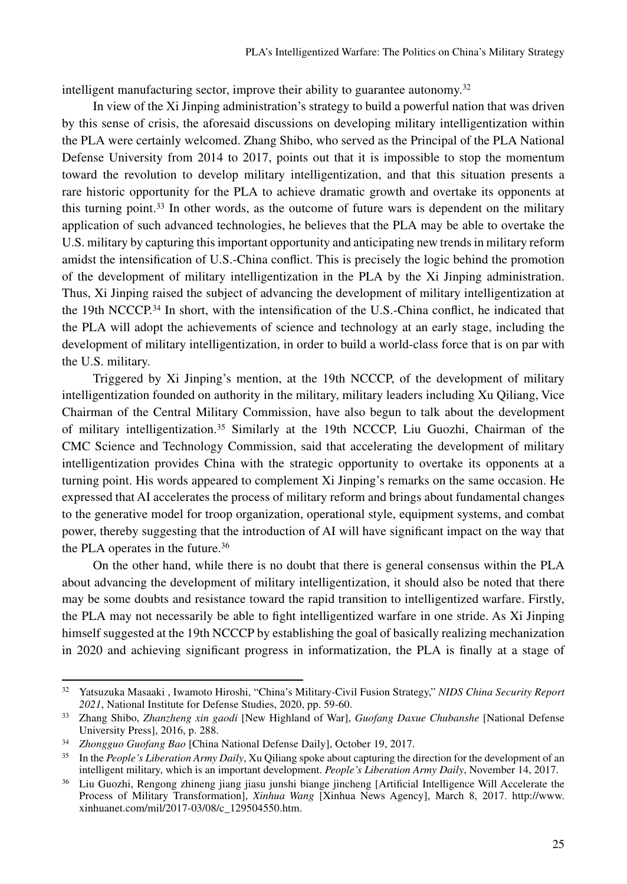intelligent manufacturing sector, improve their ability to guarantee autonomy.<sup>32</sup>

In view of the Xi Jinping administration's strategy to build a powerful nation that was driven by this sense of crisis, the aforesaid discussions on developing military intelligentization within the PLA were certainly welcomed. Zhang Shibo, who served as the Principal of the PLA National Defense University from 2014 to 2017, points out that it is impossible to stop the momentum toward the revolution to develop military intelligentization, and that this situation presents a rare historic opportunity for the PLA to achieve dramatic growth and overtake its opponents at this turning point.<sup>33</sup> In other words, as the outcome of future wars is dependent on the military application of such advanced technologies, he believes that the PLA may be able to overtake the U.S. military by capturing this important opportunity and anticipating new trends in military reform amidst the intensification of U.S.-China conflict. This is precisely the logic behind the promotion of the development of military intelligentization in the PLA by the Xi Jinping administration. Thus, Xi Jinping raised the subject of advancing the development of military intelligentization at the 19th NCCCP.34 In short, with the intensification of the U.S.-China conflict, he indicated that the PLA will adopt the achievements of science and technology at an early stage, including the development of military intelligentization, in order to build a world-class force that is on par with the U.S. military.

Triggered by Xi Jinping's mention, at the 19th NCCCP, of the development of military intelligentization founded on authority in the military, military leaders including Xu Qiliang, Vice Chairman of the Central Military Commission, have also begun to talk about the development of military intelligentization.35 Similarly at the 19th NCCCP, Liu Guozhi, Chairman of the CMC Science and Technology Commission, said that accelerating the development of military intelligentization provides China with the strategic opportunity to overtake its opponents at a turning point. His words appeared to complement Xi Jinping's remarks on the same occasion. He expressed that AI accelerates the process of military reform and brings about fundamental changes to the generative model for troop organization, operational style, equipment systems, and combat power, thereby suggesting that the introduction of AI will have significant impact on the way that the PLA operates in the future.36

On the other hand, while there is no doubt that there is general consensus within the PLA about advancing the development of military intelligentization, it should also be noted that there may be some doubts and resistance toward the rapid transition to intelligentized warfare. Firstly, the PLA may not necessarily be able to fight intelligentized warfare in one stride. As Xi Jinping himself suggested at the 19th NCCCP by establishing the goal of basically realizing mechanization in 2020 and achieving significant progress in informatization, the PLA is finally at a stage of

<sup>32</sup> Yatsuzuka Masaaki , Iwamoto Hiroshi, "China's Military-Civil Fusion Strategy," *NIDS China Security Report <sup>2021</sup>*, National Institute for Defense Studies, 2020, pp. 59-60. 33 Zhang Shibo, *Zhanzheng xin gaodi* [New Highland of War], *Guofang Daxue Chubanshe* [National Defense

University Press], 2016, p. 288.

<sup>34</sup> *Zhongguo Guofang Bao* [China National Defense Daily], October 19, 2017.

<sup>35</sup> In the *People's Liberation Army Daily*, Xu Qiliang spoke about capturing the direction for the development of an intelligent military, which is an important development. *People's Liberation Army Daily*, November 14, 2017.

<sup>36</sup> Liu Guozhi, Rengong zhineng jiang jiasu junshi biange jincheng [Artificial Intelligence Will Accelerate the Process of Military Transformation], *Xinhua Wang* [Xinhua News Agency], March 8, 2017. http://www. xinhuanet.com/mil/2017-03/08/c\_129504550.htm.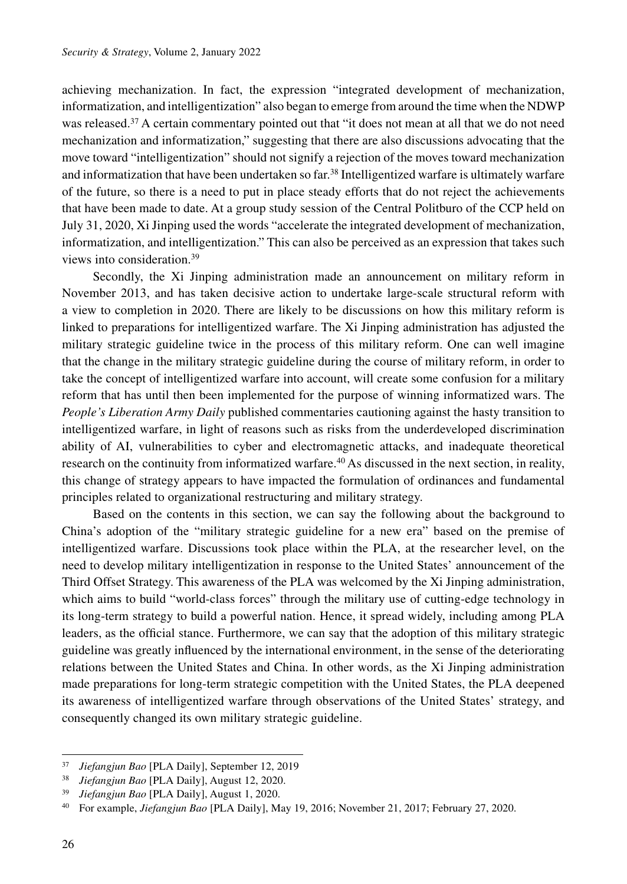achieving mechanization. In fact, the expression "integrated development of mechanization, informatization, and intelligentization" also began to emerge from around the time when the NDWP was released.<sup>37</sup> A certain commentary pointed out that "it does not mean at all that we do not need mechanization and informatization," suggesting that there are also discussions advocating that the move toward "intelligentization" should not signify a rejection of the moves toward mechanization and informatization that have been undertaken so far.<sup>38</sup> Intelligentized warfare is ultimately warfare of the future, so there is a need to put in place steady efforts that do not reject the achievements that have been made to date. At a group study session of the Central Politburo of the CCP held on July 31, 2020, Xi Jinping used the words "accelerate the integrated development of mechanization, informatization, and intelligentization." This can also be perceived as an expression that takes such views into consideration.39

Secondly, the Xi Jinping administration made an announcement on military reform in November 2013, and has taken decisive action to undertake large-scale structural reform with a view to completion in 2020. There are likely to be discussions on how this military reform is linked to preparations for intelligentized warfare. The Xi Jinping administration has adjusted the military strategic guideline twice in the process of this military reform. One can well imagine that the change in the military strategic guideline during the course of military reform, in order to take the concept of intelligentized warfare into account, will create some confusion for a military reform that has until then been implemented for the purpose of winning informatized wars. The *People's Liberation Army Daily* published commentaries cautioning against the hasty transition to intelligentized warfare, in light of reasons such as risks from the underdeveloped discrimination ability of AI, vulnerabilities to cyber and electromagnetic attacks, and inadequate theoretical research on the continuity from informatized warfare.<sup>40</sup> As discussed in the next section, in reality, this change of strategy appears to have impacted the formulation of ordinances and fundamental principles related to organizational restructuring and military strategy.

Based on the contents in this section, we can say the following about the background to China's adoption of the "military strategic guideline for a new era" based on the premise of intelligentized warfare. Discussions took place within the PLA, at the researcher level, on the need to develop military intelligentization in response to the United States' announcement of the Third Offset Strategy. This awareness of the PLA was welcomed by the Xi Jinping administration, which aims to build "world-class forces" through the military use of cutting-edge technology in its long-term strategy to build a powerful nation. Hence, it spread widely, including among PLA leaders, as the official stance. Furthermore, we can say that the adoption of this military strategic guideline was greatly influenced by the international environment, in the sense of the deteriorating relations between the United States and China. In other words, as the Xi Jinping administration made preparations for long-term strategic competition with the United States, the PLA deepened its awareness of intelligentized warfare through observations of the United States' strategy, and consequently changed its own military strategic guideline.

<sup>37</sup> *Jiefangjun Bao* [PLA Daily], September 12, 2019

<sup>38</sup> *Jiefangjun Bao* [PLA Daily], August 12, 2020.

<sup>39</sup> *Jiefangjun Bao* [PLA Daily], August 1, 2020.

<sup>40</sup> For example, *Jiefangjun Bao* [PLA Daily], May 19, 2016; November 21, 2017; February 27, 2020.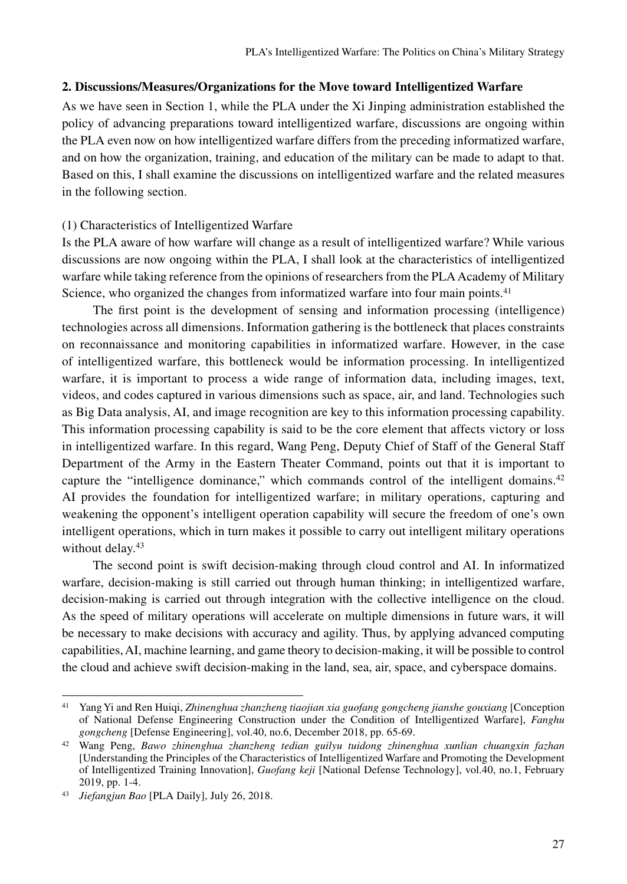# **2. Discussions/Measures/Organizations for the Move toward Intelligentized Warfare**

As we have seen in Section 1, while the PLA under the Xi Jinping administration established the policy of advancing preparations toward intelligentized warfare, discussions are ongoing within the PLA even now on how intelligentized warfare differs from the preceding informatized warfare, and on how the organization, training, and education of the military can be made to adapt to that. Based on this, I shall examine the discussions on intelligentized warfare and the related measures in the following section.

### (1) Characteristics of Intelligentized Warfare

Is the PLA aware of how warfare will change as a result of intelligentized warfare? While various discussions are now ongoing within the PLA, I shall look at the characteristics of intelligentized warfare while taking reference from the opinions of researchers from the PLA Academy of Military Science, who organized the changes from informatized warfare into four main points.<sup>41</sup>

The first point is the development of sensing and information processing (intelligence) technologies across all dimensions. Information gathering is the bottleneck that places constraints on reconnaissance and monitoring capabilities in informatized warfare. However, in the case of intelligentized warfare, this bottleneck would be information processing. In intelligentized warfare, it is important to process a wide range of information data, including images, text, videos, and codes captured in various dimensions such as space, air, and land. Technologies such as Big Data analysis, AI, and image recognition are key to this information processing capability. This information processing capability is said to be the core element that affects victory or loss in intelligentized warfare. In this regard, Wang Peng, Deputy Chief of Staff of the General Staff Department of the Army in the Eastern Theater Command, points out that it is important to capture the "intelligence dominance," which commands control of the intelligent domains.<sup>42</sup> AI provides the foundation for intelligentized warfare; in military operations, capturing and weakening the opponent's intelligent operation capability will secure the freedom of one's own intelligent operations, which in turn makes it possible to carry out intelligent military operations without delay.<sup>43</sup>

The second point is swift decision-making through cloud control and AI. In informatized warfare, decision-making is still carried out through human thinking; in intelligentized warfare, decision-making is carried out through integration with the collective intelligence on the cloud. As the speed of military operations will accelerate on multiple dimensions in future wars, it will be necessary to make decisions with accuracy and agility. Thus, by applying advanced computing capabilities, AI, machine learning, and game theory to decision-making, it will be possible to control the cloud and achieve swift decision-making in the land, sea, air, space, and cyberspace domains.

<sup>41</sup> Yang Yi and Ren Huiqi, *Zhinenghua zhanzheng tiaojian xia guofang gongcheng jianshe gouxiang* [Conception of National Defense Engineering Construction under the Condition of Intelligentized Warfare], *Fanghu gongcheng* [Defense Engineering], vol.40, no.6, December 2018, pp. 65-69.

<sup>42</sup> Wang Peng, *Bawo zhinenghua zhanzheng tedian guilyu tuidong zhinenghua xunlian chuangxin fazhan*  [Understanding the Principles of the Characteristics of Intelligentized Warfare and Promoting the Development of Intelligentized Training Innovation], *Guofang keji* [National Defense Technology], vol.40, no.1, February 2019, pp. 1-4.

<sup>43</sup> *Jiefangjun Bao* [PLA Daily], July 26, 2018.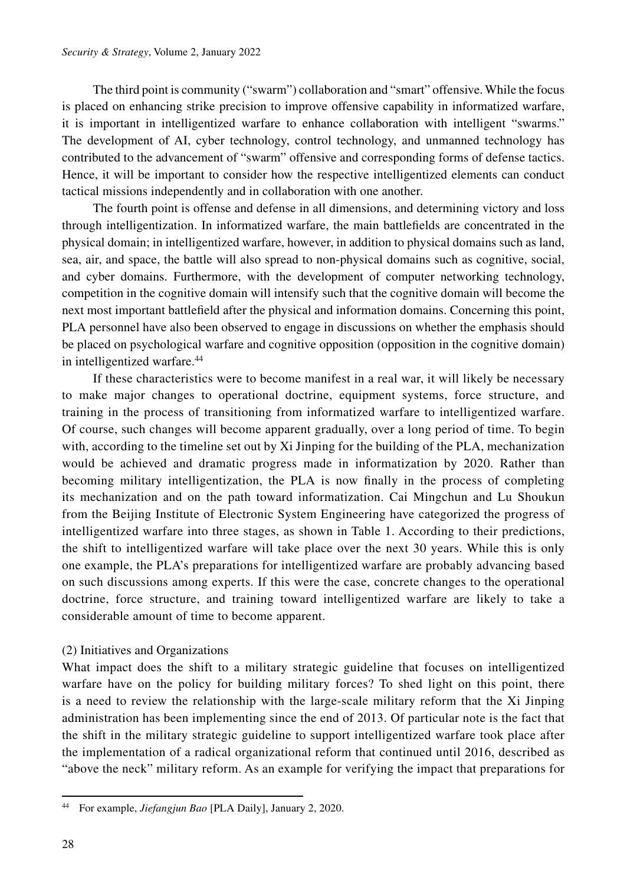The third point is community ("swarm") collaboration and "smart" offensive. While the focus is placed on enhancing strike precision to improve offensive capability in informatized warfare, it is important in intelligentized warfare to enhance collaboration with intelligent "swarms." The development of AI, cyber technology, control technology, and unmanned technology has contributed to the advancement of "swarm" offensive and corresponding forms of defense tactics. Hence, it will be important to consider how the respective intelligentized elements can conduct tactical missions independently and in collaboration with one another.

The fourth point is offense and defense in all dimensions, and determining victory and loss through intelligentization. In informatized warfare, the main battlefields are concentrated in the physical domain; in intelligentized warfare, however, in addition to physical domains such as land, sea, air, and space, the battle will also spread to non-physical domains such as cognitive, social, and cyber domains. Furthermore, with the development of computer networking technology, competition in the cognitive domain will intensify such that the cognitive domain will become the next most important battlefield after the physical and information domains. Concerning this point, PLA personnel have also been observed to engage in discussions on whether the emphasis should be placed on psychological warfare and cognitive opposition (opposition in the cognitive domain) in intelligentized warfare.44

If these characteristics were to become manifest in a real war, it will likely be necessary to make major changes to operational doctrine, equipment systems, force structure, and training in the process of transitioning from informatized warfare to intelligentized warfare. Of course, such changes will become apparent gradually, over a long period of time. To begin with, according to the timeline set out by Xi Jinping for the building of the PLA, mechanization would be achieved and dramatic progress made in informatization by 2020. Rather than becoming military intelligentization, the PLA is now finally in the process of completing its mechanization and on the path toward informatization. Cai Mingchun and Lu Shoukun from the Beijing Institute of Electronic System Engineering have categorized the progress of intelligentized warfare into three stages, as shown in Table 1. According to their predictions, the shift to intelligentized warfare will take place over the next 30 years. While this is only one example, the PLA's preparations for intelligentized warfare are probably advancing based on such discussions among experts. If this were the case, concrete changes to the operational doctrine, force structure, and training toward intelligentized warfare are likely to take a considerable amount of time to become apparent.

# (2) Initiatives and Organizations

What impact does the shift to a military strategic guideline that focuses on intelligentized warfare have on the policy for building military forces? To shed light on this point, there is a need to review the relationship with the large-scale military reform that the Xi Jinping administration has been implementing since the end of 2013. Of particular note is the fact that the shift in the military strategic guideline to support intelligentized warfare took place after the implementation of a radical organizational reform that continued until 2016, described as "above the neck" military reform. As an example for verifying the impact that preparations for

<sup>44</sup> For example, *Jiefangjun Bao* [PLA Daily], January 2, 2020.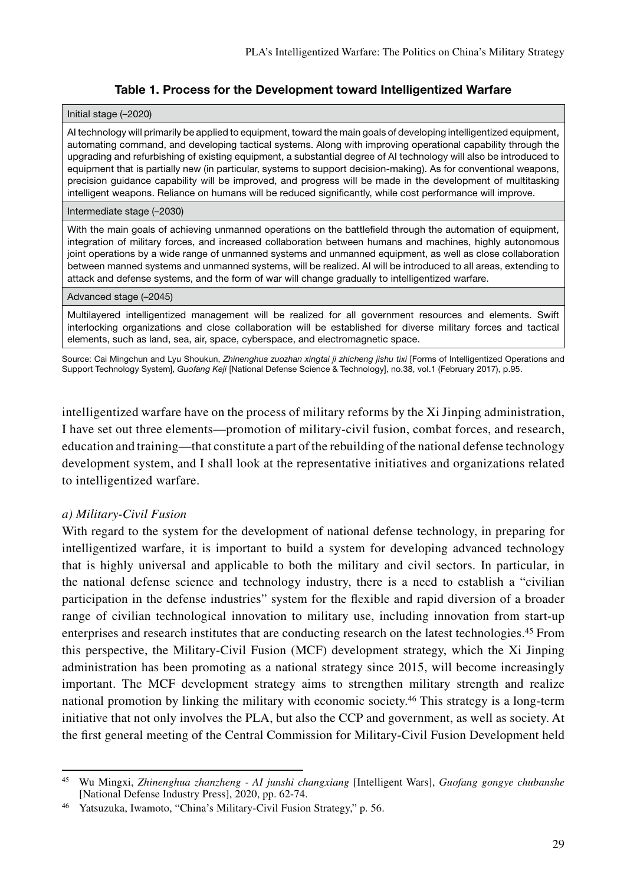# Table 1. Process for the Development toward Intelligentized Warfare

### Initial stage (–2020)

AI technology will primarily be applied to equipment, toward the main goals of developing intelligentized equipment, automating command, and developing tactical systems. Along with improving operational capability through the upgrading and refurbishing of existing equipment, a substantial degree of AI technology will also be introduced to equipment that is partially new (in particular, systems to support decision-making). As for conventional weapons, precision guidance capability will be improved, and progress will be made in the development of multitasking intelligent weapons. Reliance on humans will be reduced significantly, while cost performance will improve.

### Intermediate stage (–2030)

With the main goals of achieving unmanned operations on the battlefield through the automation of equipment, integration of military forces, and increased collaboration between humans and machines, highly autonomous joint operations by a wide range of unmanned systems and unmanned equipment, as well as close collaboration between manned systems and unmanned systems, will be realized. AI will be introduced to all areas, extending to attack and defense systems, and the form of war will change gradually to intelligentized warfare.

### Advanced stage (–2045)

Multilayered intelligentized management will be realized for all government resources and elements. Swift interlocking organizations and close collaboration will be established for diverse military forces and tactical elements, such as land, sea, air, space, cyberspace, and electromagnetic space.

Source: Cai Mingchun and Lyu Shoukun, *Zhinenghua zuozhan xingtai ji zhicheng jishu tixi* [Forms of Intelligentized Operations and Support Technology System], *Guofang Keji* [National Defense Science & Technology], no.38, vol.1 (February 2017), p.95.

intelligentized warfare have on the process of military reforms by the Xi Jinping administration, I have set out three elements—promotion of military-civil fusion, combat forces, and research, education and training—that constitute a part of the rebuilding of the national defense technology development system, and I shall look at the representative initiatives and organizations related to intelligentized warfare.

# *a) Military-Civil Fusion*

With regard to the system for the development of national defense technology, in preparing for intelligentized warfare, it is important to build a system for developing advanced technology that is highly universal and applicable to both the military and civil sectors. In particular, in the national defense science and technology industry, there is a need to establish a "civilian participation in the defense industries" system for the flexible and rapid diversion of a broader range of civilian technological innovation to military use, including innovation from start-up enterprises and research institutes that are conducting research on the latest technologies.45 From this perspective, the Military-Civil Fusion (MCF) development strategy, which the Xi Jinping administration has been promoting as a national strategy since 2015, will become increasingly important. The MCF development strategy aims to strengthen military strength and realize national promotion by linking the military with economic society.46 This strategy is a long-term initiative that not only involves the PLA, but also the CCP and government, as well as society. At the first general meeting of the Central Commission for Military-Civil Fusion Development held

<sup>45</sup> Wu Mingxi, *Zhinenghua zhanzheng - AI junshi changxiang* [Intelligent Wars], *Guofang gongye chubanshe*  [National Defense Industry Press], 2020, pp. 62-74.

<sup>46</sup> Yatsuzuka, Iwamoto, "China's Military-Civil Fusion Strategy," p. 56.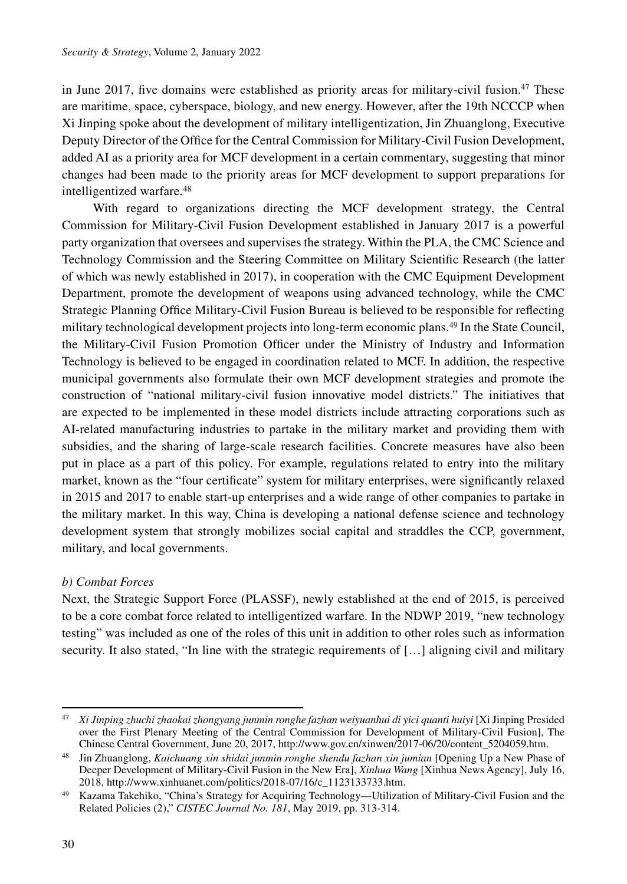in June 2017, five domains were established as priority areas for military-civil fusion.<sup>47</sup> These are maritime, space, cyberspace, biology, and new energy. However, after the 19th NCCCP when Xi Jinping spoke about the development of military intelligentization, Jin Zhuanglong, Executive Deputy Director of the Office for the Central Commission for Military-Civil Fusion Development, added AI as a priority area for MCF development in a certain commentary, suggesting that minor changes had been made to the priority areas for MCF development to support preparations for intelligentized warfare.48

With regard to organizations directing the MCF development strategy, the Central Commission for Military-Civil Fusion Development established in January 2017 is a powerful party organization that oversees and supervises the strategy. Within the PLA, the CMC Science and Technology Commission and the Steering Committee on Military Scientific Research (the latter of which was newly established in 2017), in cooperation with the CMC Equipment Development Department, promote the development of weapons using advanced technology, while the CMC Strategic Planning Office Military-Civil Fusion Bureau is believed to be responsible for reflecting military technological development projects into long-term economic plans.<sup>49</sup> In the State Council, the Military-Civil Fusion Promotion Officer under the Ministry of Industry and Information Technology is believed to be engaged in coordination related to MCF. In addition, the respective municipal governments also formulate their own MCF development strategies and promote the construction of "national military-civil fusion innovative model districts." The initiatives that are expected to be implemented in these model districts include attracting corporations such as AI-related manufacturing industries to partake in the military market and providing them with subsidies, and the sharing of large-scale research facilities. Concrete measures have also been put in place as a part of this policy. For example, regulations related to entry into the military market, known as the "four certificate" system for military enterprises, were significantly relaxed in 2015 and 2017 to enable start-up enterprises and a wide range of other companies to partake in the military market. In this way, China is developing a national defense science and technology development system that strongly mobilizes social capital and straddles the CCP, government, military, and local governments.

# *b) Combat Forces*

Next, the Strategic Support Force (PLASSF), newly established at the end of 2015, is perceived to be a core combat force related to intelligentized warfare. In the NDWP 2019, "new technology testing" was included as one of the roles of this unit in addition to other roles such as information security. It also stated, "In line with the strategic requirements of […] aligning civil and military

<sup>47</sup> *Xi Jinping zhuchi zhaokai zhongyang junmin ronghe fazhan weiyuanhui di yici quanti huiyi* [Xi Jinping Presided over the First Plenary Meeting of the Central Commission for Development of Military-Civil Fusion], The Chinese Central Government, June 20, 2017, http://www.gov.cn/xinwen/2017-06/20/content\_5204059.htm.

<sup>48</sup> Jin Zhuanglong, *Kaichuang xin shidai junmin ronghe shendu fazhan xin jumian* [Opening Up a New Phase of Deeper Development of Military-Civil Fusion in the New Era], *Xinhua Wang* [Xinhua News Agency], July 16, 2018, http://www.xinhuanet.com/politics/2018-07/16/c\_1123133733.htm.

<sup>49</sup> Kazama Takehiko, "China's Strategy for Acquiring Technology—Utilization of Military-Civil Fusion and the Related Policies (2)," *CISTEC Journal No. 181*, May 2019, pp. 313-314.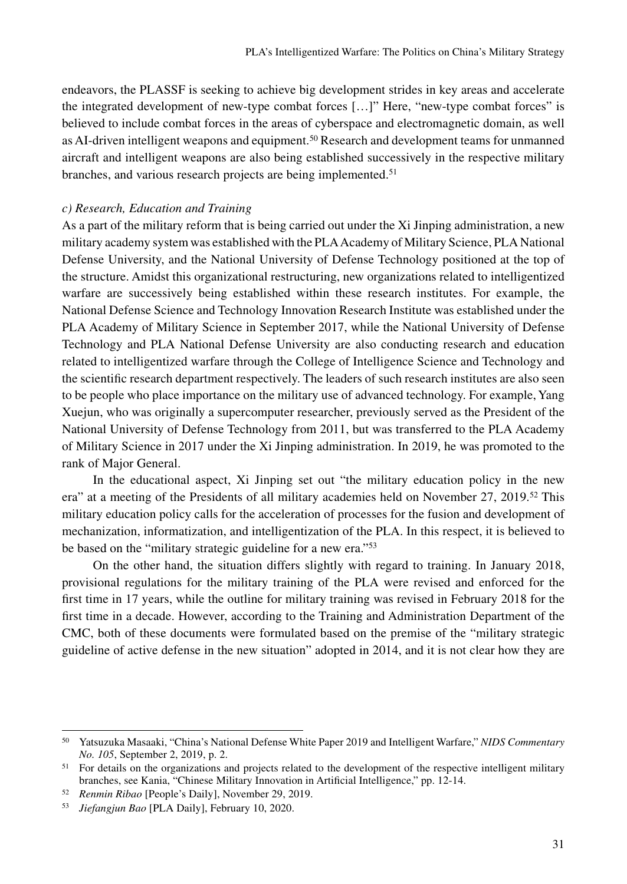endeavors, the PLASSF is seeking to achieve big development strides in key areas and accelerate the integrated development of new-type combat forces […]" Here, "new-type combat forces" is believed to include combat forces in the areas of cyberspace and electromagnetic domain, as well as AI-driven intelligent weapons and equipment.<sup>50</sup> Research and development teams for unmanned aircraft and intelligent weapons are also being established successively in the respective military branches, and various research projects are being implemented.<sup>51</sup>

### *c) Research, Education and Training*

As a part of the military reform that is being carried out under the Xi Jinping administration, a new military academy system was established with the PLA Academy of Military Science, PLA National Defense University, and the National University of Defense Technology positioned at the top of the structure. Amidst this organizational restructuring, new organizations related to intelligentized warfare are successively being established within these research institutes. For example, the National Defense Science and Technology Innovation Research Institute was established under the PLA Academy of Military Science in September 2017, while the National University of Defense Technology and PLA National Defense University are also conducting research and education related to intelligentized warfare through the College of Intelligence Science and Technology and the scientific research department respectively. The leaders of such research institutes are also seen to be people who place importance on the military use of advanced technology. For example, Yang Xuejun, who was originally a supercomputer researcher, previously served as the President of the National University of Defense Technology from 2011, but was transferred to the PLA Academy of Military Science in 2017 under the Xi Jinping administration. In 2019, he was promoted to the rank of Major General.

In the educational aspect, Xi Jinping set out "the military education policy in the new era" at a meeting of the Presidents of all military academies held on November 27, 2019.52 This military education policy calls for the acceleration of processes for the fusion and development of mechanization, informatization, and intelligentization of the PLA. In this respect, it is believed to be based on the "military strategic guideline for a new era."53

On the other hand, the situation differs slightly with regard to training. In January 2018, provisional regulations for the military training of the PLA were revised and enforced for the first time in 17 years, while the outline for military training was revised in February 2018 for the first time in a decade. However, according to the Training and Administration Department of the CMC, both of these documents were formulated based on the premise of the "military strategic guideline of active defense in the new situation" adopted in 2014, and it is not clear how they are

<sup>50</sup> Yatsuzuka Masaaki, "China's National Defense White Paper 2019 and Intelligent Warfare," *NIDS Commentary No. 105*, September 2, 2019, p. 2.

<sup>&</sup>lt;sup>51</sup> For details on the organizations and projects related to the development of the respective intelligent military branches, see Kania, "Chinese Military Innovation in Artificial Intelligence," pp. 12-14.

<sup>52</sup> *Renmin Ribao* [People's Daily], November 29, 2019.

<sup>53</sup> *Jiefangjun Bao* [PLA Daily], February 10, 2020.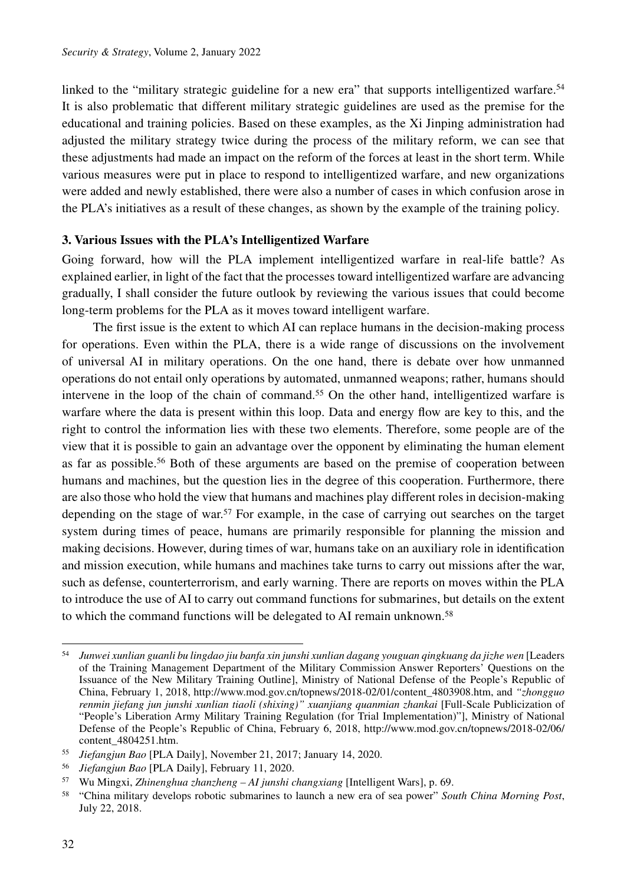linked to the "military strategic guideline for a new era" that supports intelligentized warfare.<sup>54</sup> It is also problematic that different military strategic guidelines are used as the premise for the educational and training policies. Based on these examples, as the Xi Jinping administration had adjusted the military strategy twice during the process of the military reform, we can see that these adjustments had made an impact on the reform of the forces at least in the short term. While various measures were put in place to respond to intelligentized warfare, and new organizations were added and newly established, there were also a number of cases in which confusion arose in the PLA's initiatives as a result of these changes, as shown by the example of the training policy.

# **3. Various Issues with the PLA's Intelligentized Warfare**

Going forward, how will the PLA implement intelligentized warfare in real-life battle? As explained earlier, in light of the fact that the processes toward intelligentized warfare are advancing gradually, I shall consider the future outlook by reviewing the various issues that could become long-term problems for the PLA as it moves toward intelligent warfare.

The first issue is the extent to which AI can replace humans in the decision-making process for operations. Even within the PLA, there is a wide range of discussions on the involvement of universal AI in military operations. On the one hand, there is debate over how unmanned operations do not entail only operations by automated, unmanned weapons; rather, humans should intervene in the loop of the chain of command.<sup>55</sup> On the other hand, intelligentized warfare is warfare where the data is present within this loop. Data and energy flow are key to this, and the right to control the information lies with these two elements. Therefore, some people are of the view that it is possible to gain an advantage over the opponent by eliminating the human element as far as possible.<sup>56</sup> Both of these arguments are based on the premise of cooperation between humans and machines, but the question lies in the degree of this cooperation. Furthermore, there are also those who hold the view that humans and machines play different roles in decision-making depending on the stage of war.<sup>57</sup> For example, in the case of carrying out searches on the target system during times of peace, humans are primarily responsible for planning the mission and making decisions. However, during times of war, humans take on an auxiliary role in identification and mission execution, while humans and machines take turns to carry out missions after the war, such as defense, counterterrorism, and early warning. There are reports on moves within the PLA to introduce the use of AI to carry out command functions for submarines, but details on the extent to which the command functions will be delegated to AI remain unknown.<sup>58</sup>

<sup>56</sup> *Jiefangjun Bao* [PLA Daily], February 11, 2020.

<sup>54</sup> *Junwei xunlian guanli bu lingdao jiu banfa xin junshi xunlian dagang youguan qingkuang da jizhe wen* [Leaders of the Training Management Department of the Military Commission Answer Reporters' Questions on the Issuance of the New Military Training Outline], Ministry of National Defense of the People's Republic of China, February 1, 2018, http://www.mod.gov.cn/topnews/2018-02/01/content\_4803908.htm, and *"zhongguo renmin jiefang jun junshi xunlian tiaoli (shixing)" xuanjiang quanmian zhankai* [Full-Scale Publicization of "People's Liberation Army Military Training Regulation (for Trial Implementation)"], Ministry of National Defense of the People's Republic of China, February 6, 2018, http://www.mod.gov.cn/topnews/2018-02/06/ content\_4804251.htm.

<sup>55</sup> *Jiefangjun Bao* [PLA Daily], November 21, 2017; January 14, 2020.

<sup>57</sup> Wu Mingxi, *Zhinenghua zhanzheng – AI junshi changxiang* [Intelligent Wars], p. 69.

<sup>58</sup> "China military develops robotic submarines to launch a new era of sea power" *South China Morning Post*, July 22, 2018.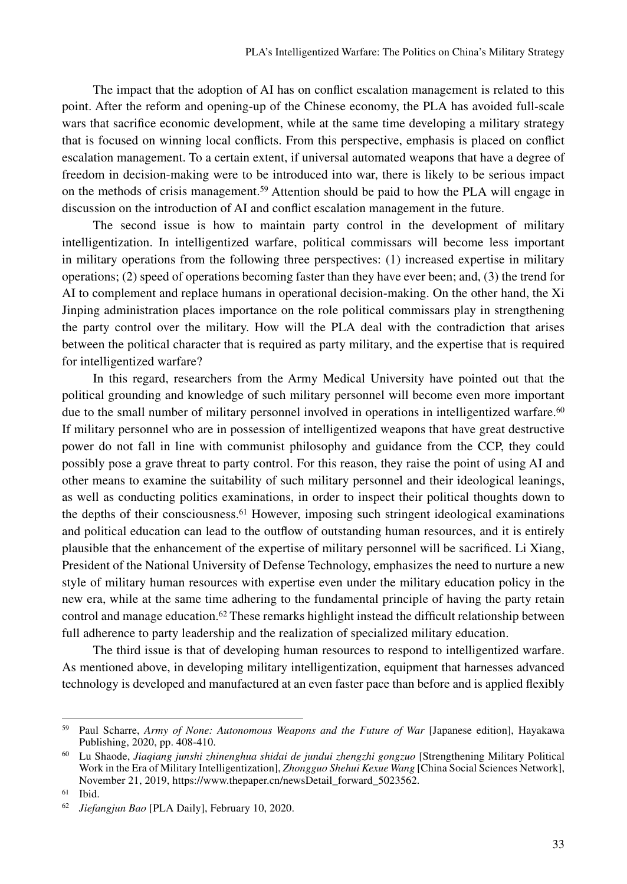The impact that the adoption of AI has on conflict escalation management is related to this point. After the reform and opening-up of the Chinese economy, the PLA has avoided full-scale wars that sacrifice economic development, while at the same time developing a military strategy that is focused on winning local conflicts. From this perspective, emphasis is placed on conflict escalation management. To a certain extent, if universal automated weapons that have a degree of freedom in decision-making were to be introduced into war, there is likely to be serious impact on the methods of crisis management.<sup>59</sup> Attention should be paid to how the PLA will engage in discussion on the introduction of AI and conflict escalation management in the future.

The second issue is how to maintain party control in the development of military intelligentization. In intelligentized warfare, political commissars will become less important in military operations from the following three perspectives: (1) increased expertise in military operations; (2) speed of operations becoming faster than they have ever been; and, (3) the trend for AI to complement and replace humans in operational decision-making. On the other hand, the Xi Jinping administration places importance on the role political commissars play in strengthening the party control over the military. How will the PLA deal with the contradiction that arises between the political character that is required as party military, and the expertise that is required for intelligentized warfare?

In this regard, researchers from the Army Medical University have pointed out that the political grounding and knowledge of such military personnel will become even more important due to the small number of military personnel involved in operations in intelligentized warfare.<sup>60</sup> If military personnel who are in possession of intelligentized weapons that have great destructive power do not fall in line with communist philosophy and guidance from the CCP, they could possibly pose a grave threat to party control. For this reason, they raise the point of using AI and other means to examine the suitability of such military personnel and their ideological leanings, as well as conducting politics examinations, in order to inspect their political thoughts down to the depths of their consciousness.<sup>61</sup> However, imposing such stringent ideological examinations and political education can lead to the outflow of outstanding human resources, and it is entirely plausible that the enhancement of the expertise of military personnel will be sacrificed. Li Xiang, President of the National University of Defense Technology, emphasizes the need to nurture a new style of military human resources with expertise even under the military education policy in the new era, while at the same time adhering to the fundamental principle of having the party retain control and manage education.<sup>62</sup> These remarks highlight instead the difficult relationship between full adherence to party leadership and the realization of specialized military education.

The third issue is that of developing human resources to respond to intelligentized warfare. As mentioned above, in developing military intelligentization, equipment that harnesses advanced technology is developed and manufactured at an even faster pace than before and is applied flexibly

<sup>59</sup> Paul Scharre, *Army of None: Autonomous Weapons and the Future of War* [Japanese edition], Hayakawa Publishing, 2020, pp. 408-410.

<sup>60</sup> Lu Shaode, *Jiaqiang junshi zhinenghua shidai de jundui zhengzhi gongzuo* [Strengthening Military Political Work in the Era of Military Intelligentization], *Zhongguo Shehui Kexue Wang* [China Social Sciences Network], November 21, 2019, https://www.thepaper.cn/newsDetail\_forward\_5023562.

<sup>61</sup> Ibid.

<sup>62</sup> *Jiefangjun Bao* [PLA Daily], February 10, 2020.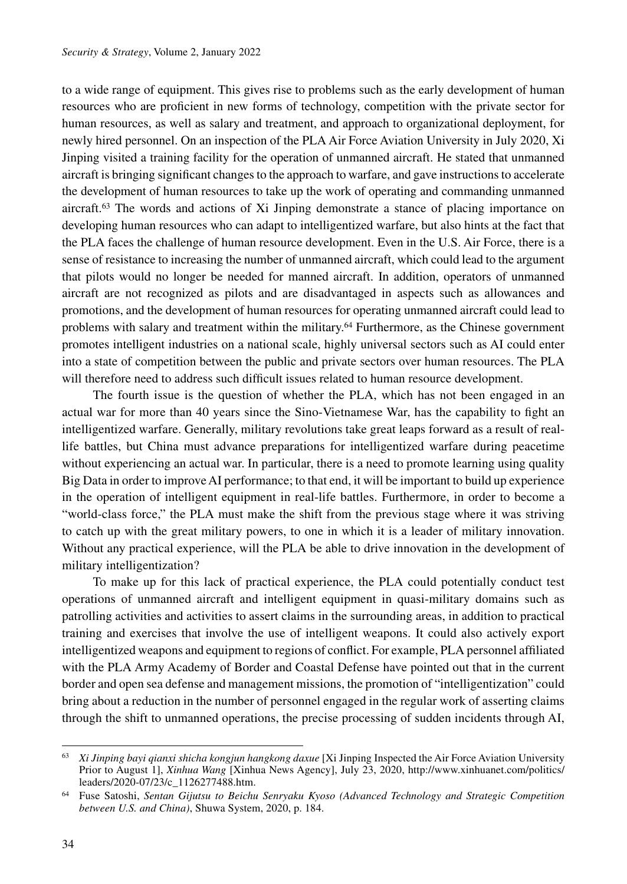to a wide range of equipment. This gives rise to problems such as the early development of human resources who are proficient in new forms of technology, competition with the private sector for human resources, as well as salary and treatment, and approach to organizational deployment, for newly hired personnel. On an inspection of the PLA Air Force Aviation University in July 2020, Xi Jinping visited a training facility for the operation of unmanned aircraft. He stated that unmanned aircraft is bringing significant changes to the approach to warfare, and gave instructions to accelerate the development of human resources to take up the work of operating and commanding unmanned aircraft.63 The words and actions of Xi Jinping demonstrate a stance of placing importance on developing human resources who can adapt to intelligentized warfare, but also hints at the fact that the PLA faces the challenge of human resource development. Even in the U.S. Air Force, there is a sense of resistance to increasing the number of unmanned aircraft, which could lead to the argument that pilots would no longer be needed for manned aircraft. In addition, operators of unmanned aircraft are not recognized as pilots and are disadvantaged in aspects such as allowances and promotions, and the development of human resources for operating unmanned aircraft could lead to problems with salary and treatment within the military.64 Furthermore, as the Chinese government promotes intelligent industries on a national scale, highly universal sectors such as AI could enter into a state of competition between the public and private sectors over human resources. The PLA will therefore need to address such difficult issues related to human resource development.

The fourth issue is the question of whether the PLA, which has not been engaged in an actual war for more than 40 years since the Sino-Vietnamese War, has the capability to fight an intelligentized warfare. Generally, military revolutions take great leaps forward as a result of reallife battles, but China must advance preparations for intelligentized warfare during peacetime without experiencing an actual war. In particular, there is a need to promote learning using quality Big Data in order to improve AI performance; to that end, it will be important to build up experience in the operation of intelligent equipment in real-life battles. Furthermore, in order to become a "world-class force," the PLA must make the shift from the previous stage where it was striving to catch up with the great military powers, to one in which it is a leader of military innovation. Without any practical experience, will the PLA be able to drive innovation in the development of military intelligentization?

To make up for this lack of practical experience, the PLA could potentially conduct test operations of unmanned aircraft and intelligent equipment in quasi-military domains such as patrolling activities and activities to assert claims in the surrounding areas, in addition to practical training and exercises that involve the use of intelligent weapons. It could also actively export intelligentized weapons and equipment to regions of conflict. For example, PLA personnel affiliated with the PLA Army Academy of Border and Coastal Defense have pointed out that in the current border and open sea defense and management missions, the promotion of "intelligentization" could bring about a reduction in the number of personnel engaged in the regular work of asserting claims through the shift to unmanned operations, the precise processing of sudden incidents through AI,

<sup>63</sup> *Xi Jinping bayi qianxi shicha kongjun hangkong daxue* [Xi Jinping Inspected the Air Force Aviation University Prior to August 1], *Xinhua Wang* [Xinhua News Agency], July 23, 2020, http://www.xinhuanet.com/politics/ leaders/2020-07/23/c\_1126277488.htm.

<sup>64</sup> Fuse Satoshi, *Sentan Gijutsu to Beichu Senryaku Kyoso (Advanced Technology and Strategic Competition between U.S. and China)*, Shuwa System, 2020, p. 184.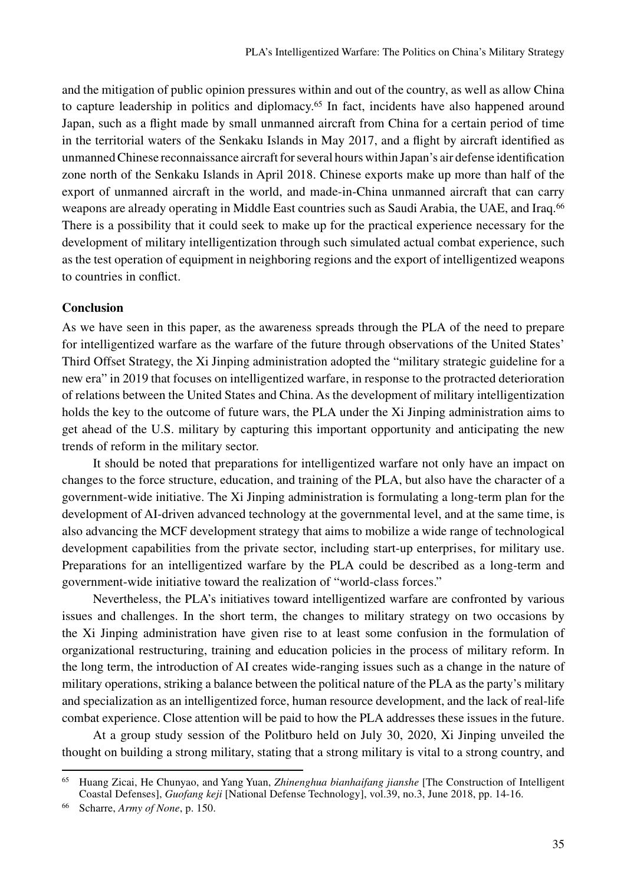and the mitigation of public opinion pressures within and out of the country, as well as allow China to capture leadership in politics and diplomacy.65 In fact, incidents have also happened around Japan, such as a flight made by small unmanned aircraft from China for a certain period of time in the territorial waters of the Senkaku Islands in May 2017, and a flight by aircraft identified as unmanned Chinese reconnaissance aircraft for several hours within Japan's air defense identification zone north of the Senkaku Islands in April 2018. Chinese exports make up more than half of the export of unmanned aircraft in the world, and made-in-China unmanned aircraft that can carry weapons are already operating in Middle East countries such as Saudi Arabia, the UAE, and Iraq.<sup>66</sup> There is a possibility that it could seek to make up for the practical experience necessary for the development of military intelligentization through such simulated actual combat experience, such as the test operation of equipment in neighboring regions and the export of intelligentized weapons to countries in conflict.

### **Conclusion**

As we have seen in this paper, as the awareness spreads through the PLA of the need to prepare for intelligentized warfare as the warfare of the future through observations of the United States' Third Offset Strategy, the Xi Jinping administration adopted the "military strategic guideline for a new era" in 2019 that focuses on intelligentized warfare, in response to the protracted deterioration of relations between the United States and China. As the development of military intelligentization holds the key to the outcome of future wars, the PLA under the Xi Jinping administration aims to get ahead of the U.S. military by capturing this important opportunity and anticipating the new trends of reform in the military sector.

It should be noted that preparations for intelligentized warfare not only have an impact on changes to the force structure, education, and training of the PLA, but also have the character of a government-wide initiative. The Xi Jinping administration is formulating a long-term plan for the development of AI-driven advanced technology at the governmental level, and at the same time, is also advancing the MCF development strategy that aims to mobilize a wide range of technological development capabilities from the private sector, including start-up enterprises, for military use. Preparations for an intelligentized warfare by the PLA could be described as a long-term and government-wide initiative toward the realization of "world-class forces."

Nevertheless, the PLA's initiatives toward intelligentized warfare are confronted by various issues and challenges. In the short term, the changes to military strategy on two occasions by the Xi Jinping administration have given rise to at least some confusion in the formulation of organizational restructuring, training and education policies in the process of military reform. In the long term, the introduction of AI creates wide-ranging issues such as a change in the nature of military operations, striking a balance between the political nature of the PLA as the party's military and specialization as an intelligentized force, human resource development, and the lack of real-life combat experience. Close attention will be paid to how the PLA addresses these issues in the future.

At a group study session of the Politburo held on July 30, 2020, Xi Jinping unveiled the thought on building a strong military, stating that a strong military is vital to a strong country, and

<sup>65</sup> Huang Zicai, He Chunyao, and Yang Yuan, *Zhinenghua bianhaifang jianshe* [The Construction of Intelligent Coastal Defenses], *Guofang keji* [National Defense Technology], vol.39, no.3, June 2018, pp. 14-16.

<sup>66</sup> Scharre, *Army of None*, p. 150.